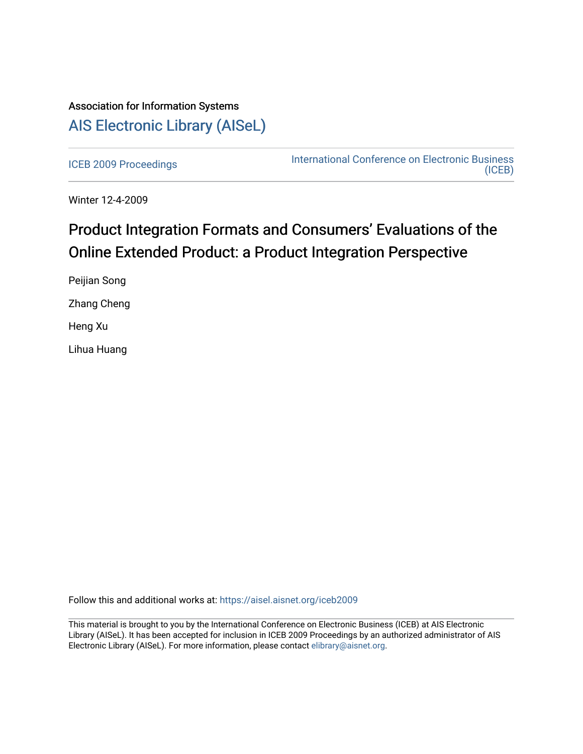## Association for Information Systems [AIS Electronic Library \(AISeL\)](https://aisel.aisnet.org/)

[ICEB 2009 Proceedings](https://aisel.aisnet.org/iceb2009) **International Conference on Electronic Business** [\(ICEB\)](https://aisel.aisnet.org/iceb) 

Winter 12-4-2009

# Product Integration Formats and Consumers' Evaluations of the Online Extended Product: a Product Integration Perspective

Peijian Song Zhang Cheng Heng Xu Lihua Huang

Follow this and additional works at: [https://aisel.aisnet.org/iceb2009](https://aisel.aisnet.org/iceb2009?utm_source=aisel.aisnet.org%2Ficeb2009%2F54&utm_medium=PDF&utm_campaign=PDFCoverPages)

This material is brought to you by the International Conference on Electronic Business (ICEB) at AIS Electronic Library (AISeL). It has been accepted for inclusion in ICEB 2009 Proceedings by an authorized administrator of AIS Electronic Library (AISeL). For more information, please contact [elibrary@aisnet.org.](mailto:elibrary@aisnet.org%3E)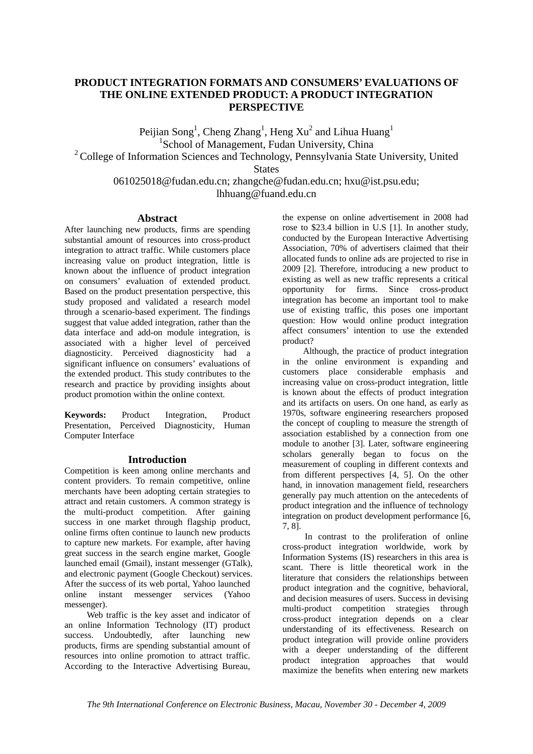## **PRODUCT INTEGRATION FORMATS AND CONSUMERS' EVALUATIONS OF THE ONLINE EXTENDED PRODUCT: A PRODUCT INTEGRATION PERSPECTIVE**

Peijian Song<sup>1</sup>, Cheng Zhang<sup>1</sup>, Heng Xu<sup>2</sup> and Lihua Huang<sup>1</sup> <sup>1</sup>School of Management, Fudan University, China  $2^2$  College of Information Sciences and Technology, Pennsylvania State University, United **States** 061025018@fudan.edu.cn; zhangche@fudan.edu.cn; hxu@ist.psu.edu; lhhuang@fuand.edu.cn

## **Abstract**

After launching new products, firms are spending substantial amount of resources into cross-product integration to attract traffic. While customers place increasing value on product integration, little is known about the influence of product integration on consumers' evaluation of extended product. Based on the product presentation perspective, this study proposed and validated a research model through a scenario-based experiment. The findings suggest that value added integration, rather than the data interface and add-on module integration, is associated with a higher level of perceived diagnosticity. Perceived diagnosticity had a significant influence on consumers' evaluations of the extended product. This study contributes to the research and practice by providing insights about product promotion within the online context.

**Keywords:** Product Integration, Product Presentation, Perceived Diagnosticity, Human Computer Interface

## **Introduction**

Competition is keen among online merchants and content providers. To remain competitive, online merchants have been adopting certain strategies to attract and retain customers. A common strategy is the multi-product competition. After gaining success in one market through flagship product, online firms often continue to launch new products to capture new markets. For example, after having great success in the search engine market, Google launched email (Gmail), instant messenger (GTalk), and electronic payment (Google Checkout) services. After the success of its web portal, Yahoo launched online instant messenger services (Yahoo messenger).

Web traffic is the key asset and indicator of an online Information Technology (IT) product success. Undoubtedly, after launching new products, firms are spending substantial amount of resources into online promotion to attract traffic. According to the Interactive Advertising Bureau,

the expense on online advertisement in 2008 had rose to \$23.4 billion in U.S [1]. In another study, conducted by the European Interactive Advertising Association, 70% of advertisers claimed that their allocated funds to online ads are projected to rise in 2009 [2]. Therefore, introducing a new product to existing as well as new traffic represents a critical opportunity for firms. Since cross-product integration has become an important tool to make use of existing traffic, this poses one important question: How would online product integration affect consumers' intention to use the extended product?

Although, the practice of product integration in the online environment is expanding and customers place considerable emphasis and increasing value on cross-product integration, little is known about the effects of product integration and its artifacts on users. On one hand, as early as 1970s, software engineering researchers proposed the concept of coupling to measure the strength of association established by a connection from one module to another [3]. Later, software engineering scholars generally began to focus on the measurement of coupling in different contexts and from different perspectives [4, 5]. On the other hand, in innovation management field, researchers generally pay much attention on the antecedents of product integration and the influence of technology integration on product development performance [6, 7, 8].

In contrast to the proliferation of online cross-product integration worldwide, work by Information Systems (IS) researchers in this area is scant. There is little theoretical work in the literature that considers the relationships between product integration and the cognitive, behavioral, and decision measures of users. Success in devising multi-product competition strategies through cross-product integration depends on a clear understanding of its effectiveness. Research on product integration will provide online providers with a deeper understanding of the different product integration approaches that would maximize the benefits when entering new markets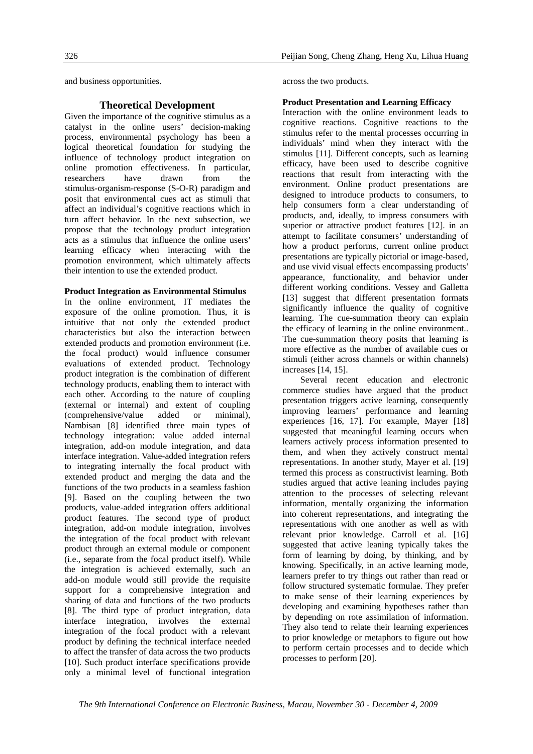and business opportunities.

## **Theoretical Development**

Given the importance of the cognitive stimulus as a catalyst in the online users' decision-making process, environmental psychology has been a logical theoretical foundation for studying the influence of technology product integration on online promotion effectiveness. In particular, researchers have drawn from the stimulus-organism-response (S-O-R) paradigm and posit that environmental cues act as stimuli that affect an individual's cognitive reactions which in turn affect behavior. In the next subsection, we propose that the technology product integration acts as a stimulus that influence the online users' learning efficacy when interacting with the promotion environment, which ultimately affects their intention to use the extended product.

## **Product Integration as Environmental Stimulus**

In the online environment, IT mediates the exposure of the online promotion. Thus, it is intuitive that not only the extended product characteristics but also the interaction between extended products and promotion environment (i.e. the focal product) would influence consumer evaluations of extended product. Technology product integration is the combination of different technology products, enabling them to interact with each other. According to the nature of coupling (external or internal) and extent of coupling (comprehensive/value added or minimal), Nambisan [8] identified three main types of technology integration: value added internal integration, add-on module integration, and data interface integration. Value-added integration refers to integrating internally the focal product with extended product and merging the data and the functions of the two products in a seamless fashion [9]. Based on the coupling between the two products, value-added integration offers additional product features. The second type of product integration, add-on module integration, involves the integration of the focal product with relevant product through an external module or component (i.e., separate from the focal product itself). While the integration is achieved externally, such an add-on module would still provide the requisite support for a comprehensive integration and sharing of data and functions of the two products [8]. The third type of product integration, data interface integration, involves the external integration of the focal product with a relevant product by defining the technical interface needed to affect the transfer of data across the two products [10]. Such product interface specifications provide only a minimal level of functional integration

across the two products.

## **Product Presentation and Learning Efficacy**

Interaction with the online environment leads to cognitive reactions. Cognitive reactions to the stimulus refer to the mental processes occurring in individuals' mind when they interact with the stimulus [11]. Different concepts, such as learning efficacy, have been used to describe cognitive reactions that result from interacting with the environment. Online product presentations are designed to introduce products to consumers, to help consumers form a clear understanding of products, and, ideally, to impress consumers with superior or attractive product features [12]. in an attempt to facilitate consumers' understanding of how a product performs, current online product presentations are typically pictorial or image-based, and use vivid visual effects encompassing products' appearance, functionality, and behavior under different working conditions. Vessey and Galletta [13] suggest that different presentation formats significantly influence the quality of cognitive learning. The cue-summation theory can explain the efficacy of learning in the online environment.. The cue-summation theory posits that learning is more effective as the number of available cues or stimuli (either across channels or within channels) increases [14, 15].

Several recent education and electronic commerce studies have argued that the product presentation triggers active learning, consequently improving learners' performance and learning experiences  $[16, 17]$ . For example, Mayer  $[18]$ suggested that meaningful learning occurs when learners actively process information presented to them, and when they actively construct mental representations. In another study, Mayer et al. [19] termed this process as constructivist learning. Both studies argued that active leaning includes paying attention to the processes of selecting relevant information, mentally organizing the information into coherent representations, and integrating the representations with one another as well as with relevant prior knowledge. Carroll et al. [16] suggested that active leaning typically takes the form of learning by doing, by thinking, and by knowing. Specifically, in an active learning mode, learners prefer to try things out rather than read or follow structured systematic formulae. They prefer to make sense of their learning experiences by developing and examining hypotheses rather than by depending on rote assimilation of information. They also tend to relate their learning experiences to prior knowledge or metaphors to figure out how to perform certain processes and to decide which processes to perform [20].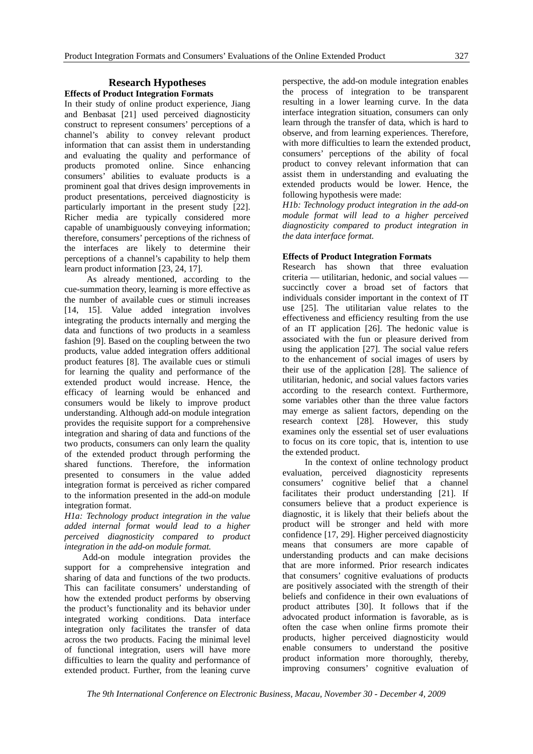## **Research Hypotheses Effects of Product Integration Formats**

In their study of online product experience, Jiang and Benbasat [21] used perceived diagnosticity construct to represent consumers' perceptions of a channel's ability to convey relevant product information that can assist them in understanding and evaluating the quality and performance of products promoted online. Since enhancing consumers' abilities to evaluate products is a prominent goal that drives design improvements in product presentations, perceived diagnosticity is particularly important in the present study [22]. Richer media are typically considered more capable of unambiguously conveying information; therefore, consumers' perceptions of the richness of the interfaces are likely to determine their perceptions of a channel's capability to help them learn product information [23, 24, 17].

As already mentioned, according to the cue-summation theory, learning is more effective as the number of available cues or stimuli increases [14, 15]. Value added integration involves integrating the products internally and merging the data and functions of two products in a seamless fashion [9]. Based on the coupling between the two products, value added integration offers additional product features [8]. The available cues or stimuli for learning the quality and performance of the extended product would increase. Hence, the efficacy of learning would be enhanced and consumers would be likely to improve product understanding. Although add-on module integration provides the requisite support for a comprehensive integration and sharing of data and functions of the two products, consumers can only learn the quality of the extended product through performing the shared functions. Therefore, the information presented to consumers in the value added integration format is perceived as richer compared to the information presented in the add-on module integration format.

*H1a: Technology product integration in the value added internal format would lead to a higher perceived diagnosticity compared to product integration in the add-on module format.* 

Add-on module integration provides the support for a comprehensive integration and sharing of data and functions of the two products. This can facilitate consumers' understanding of how the extended product performs by observing the product's functionality and its behavior under integrated working conditions. Data interface integration only facilitates the transfer of data across the two products. Facing the minimal level of functional integration, users will have more difficulties to learn the quality and performance of extended product. Further, from the leaning curve perspective, the add-on module integration enables the process of integration to be transparent resulting in a lower learning curve. In the data interface integration situation, consumers can only learn through the transfer of data, which is hard to observe, and from learning experiences. Therefore, with more difficulties to learn the extended product, consumers' perceptions of the ability of focal product to convey relevant information that can assist them in understanding and evaluating the extended products would be lower. Hence, the following hypothesis were made:

*H1b: Technology product integration in the add-on module format will lead to a higher perceived diagnosticity compared to product integration in the data interface format.* 

## **Effects of Product Integration Formats**

Research has shown that three evaluation criteria — utilitarian, hedonic, and social values succinctly cover a broad set of factors that individuals consider important in the context of IT use [25]. The utilitarian value relates to the effectiveness and efficiency resulting from the use of an IT application [26]. The hedonic value is associated with the fun or pleasure derived from using the application [27]. The social value refers to the enhancement of social images of users by their use of the application [28]. The salience of utilitarian, hedonic, and social values factors varies according to the research context. Furthermore, some variables other than the three value factors may emerge as salient factors, depending on the research context [28]. However, this study examines only the essential set of user evaluations to focus on its core topic, that is, intention to use the extended product.

In the context of online technology product evaluation, perceived diagnosticity represents consumers' cognitive belief that a channel facilitates their product understanding [21]. If consumers believe that a product experience is diagnostic, it is likely that their beliefs about the product will be stronger and held with more confidence [17, 29]. Higher perceived diagnosticity means that consumers are more capable of understanding products and can make decisions that are more informed. Prior research indicates that consumers' cognitive evaluations of products are positively associated with the strength of their beliefs and confidence in their own evaluations of product attributes [30]. It follows that if the advocated product information is favorable, as is often the case when online firms promote their products, higher perceived diagnosticity would enable consumers to understand the positive product information more thoroughly, thereby, improving consumers' cognitive evaluation of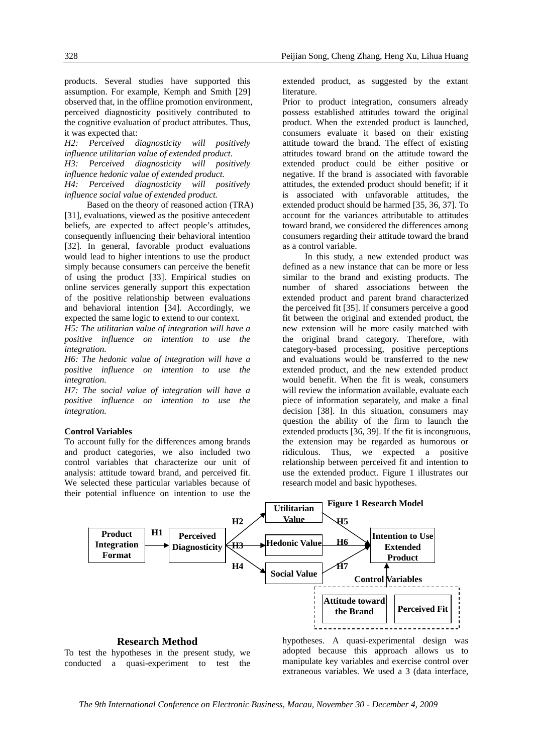products. Several studies have supported this assumption. For example, Kemph and Smith [29] observed that, in the offline promotion environment, perceived diagnosticity positively contributed to the cognitive evaluation of product attributes. Thus, it was expected that:

*H2: Perceived diagnosticity will positively influence utilitarian value of extended product. H3: Perceived diagnosticity will positively influence hedonic value of extended product. H4: Perceived diagnosticity will positively influence social value of extended product.* 

Based on the theory of reasoned action (TRA) [31], evaluations, viewed as the positive antecedent beliefs, are expected to affect people's attitudes, consequently influencing their behavioral intention [32]. In general, favorable product evaluations would lead to higher intentions to use the product simply because consumers can perceive the benefit of using the product [33]. Empirical studies on online services generally support this expectation of the positive relationship between evaluations and behavioral intention [34]. Accordingly, we expected the same logic to extend to our context.

*H5: The utilitarian value of integration will have a positive influence on intention to use the integration.* 

*H6: The hedonic value of integration will have a positive influence on intention to use the integration.* 

*H7: The social value of integration will have a positive influence on intention to use the integration.* 

## **Control Variables**

To account fully for the differences among brands and product categories, we also included two control variables that characterize our unit of analysis: attitude toward brand, and perceived fit. We selected these particular variables because of their potential influence on intention to use the

extended product, as suggested by the extant literature.

Prior to product integration, consumers already possess established attitudes toward the original product. When the extended product is launched, consumers evaluate it based on their existing attitude toward the brand. The effect of existing attitudes toward brand on the attitude toward the extended product could be either positive or negative. If the brand is associated with favorable attitudes, the extended product should benefit; if it is associated with unfavorable attitudes, the extended product should be harmed [35, 36, 37]. To account for the variances attributable to attitudes toward brand, we considered the differences among consumers regarding their attitude toward the brand as a control variable.

In this study, a new extended product was defined as a new instance that can be more or less similar to the brand and existing products. The number of shared associations between the extended product and parent brand characterized the perceived fit [35]. If consumers perceive a good fit between the original and extended product, the new extension will be more easily matched with the original brand category. Therefore, with category-based processing, positive perceptions and evaluations would be transferred to the new extended product, and the new extended product would benefit. When the fit is weak, consumers will review the information available, evaluate each piece of information separately, and make a final decision [38]. In this situation, consumers may question the ability of the firm to launch the extended products [36, 39]. If the fit is incongruous, the extension may be regarded as humorous or ridiculous. Thus, we expected a positive relationship between perceived fit and intention to use the extended product. Figure 1 illustrates our research model and basic hypotheses.



**Research Method**  To test the hypotheses in the present study, we conducted a quasi-experiment to test the hypotheses. A quasi-experimental design was adopted because this approach allows us to manipulate key variables and exercise control over extraneous variables. We used a 3 (data interface,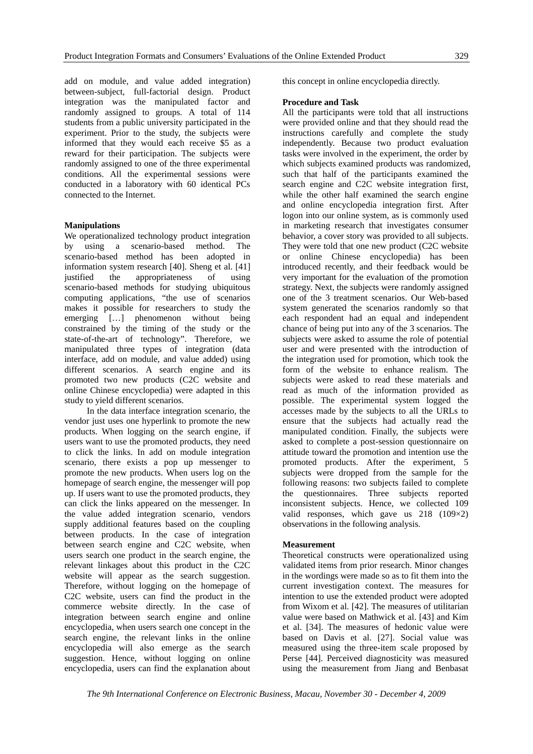add on module, and value added integration) between-subject, full-factorial design. Product integration was the manipulated factor and randomly assigned to groups. A total of 114 students from a public university participated in the experiment. Prior to the study, the subjects were informed that they would each receive \$5 as a reward for their participation. The subjects were randomly assigned to one of the three experimental conditions. All the experimental sessions were conducted in a laboratory with 60 identical PCs connected to the Internet.

## **Manipulations**

We operationalized technology product integration by using a scenario-based method. The scenario-based method has been adopted in information system research [40]. Sheng et al. [41]<br>justified the appropriateness of using justified the appropriateness of using scenario-based methods for studying ubiquitous computing applications, "the use of scenarios makes it possible for researchers to study the emerging [...] phenomenon without being constrained by the timing of the study or the state-of-the-art of technology". Therefore, we manipulated three types of integration (data interface, add on module, and value added) using different scenarios. A search engine and its promoted two new products (C2C website and online Chinese encyclopedia) were adapted in this study to yield different scenarios.

In the data interface integration scenario, the vendor just uses one hyperlink to promote the new products. When logging on the search engine, if users want to use the promoted products, they need to click the links. In add on module integration scenario, there exists a pop up messenger to promote the new products. When users log on the homepage of search engine, the messenger will pop up. If users want to use the promoted products, they can click the links appeared on the messenger. In the value added integration scenario, vendors supply additional features based on the coupling between products. In the case of integration between search engine and C2C website, when users search one product in the search engine, the relevant linkages about this product in the C2C website will appear as the search suggestion. Therefore, without logging on the homepage of C2C website, users can find the product in the commerce website directly. In the case of integration between search engine and online encyclopedia, when users search one concept in the search engine, the relevant links in the online encyclopedia will also emerge as the search suggestion. Hence, without logging on online encyclopedia, users can find the explanation about this concept in online encyclopedia directly.

#### **Procedure and Task**

All the participants were told that all instructions were provided online and that they should read the instructions carefully and complete the study independently. Because two product evaluation tasks were involved in the experiment, the order by which subjects examined products was randomized, such that half of the participants examined the search engine and C2C website integration first, while the other half examined the search engine and online encyclopedia integration first. After logon into our online system, as is commonly used in marketing research that investigates consumer behavior, a cover story was provided to all subjects. They were told that one new product (C2C website or online Chinese encyclopedia) has been introduced recently, and their feedback would be very important for the evaluation of the promotion strategy. Next, the subjects were randomly assigned one of the 3 treatment scenarios. Our Web-based system generated the scenarios randomly so that each respondent had an equal and independent chance of being put into any of the 3 scenarios. The subjects were asked to assume the role of potential user and were presented with the introduction of the integration used for promotion, which took the form of the website to enhance realism. The subjects were asked to read these materials and read as much of the information provided as possible. The experimental system logged the accesses made by the subjects to all the URLs to ensure that the subjects had actually read the manipulated condition. Finally, the subjects were asked to complete a post-session questionnaire on attitude toward the promotion and intention use the promoted products. After the experiment, 5 subjects were dropped from the sample for the following reasons: two subjects failed to complete the questionnaires. Three subjects reported inconsistent subjects. Hence, we collected 109 valid responses, which gave us 218 (109×2) observations in the following analysis.

#### **Measurement**

Theoretical constructs were operationalized using validated items from prior research. Minor changes in the wordings were made so as to fit them into the current investigation context. The measures for intention to use the extended product were adopted from Wixom et al. [42]. The measures of utilitarian value were based on Mathwick et al. [43] and Kim et al. [34]. The measures of hedonic value were based on Davis et al. [27]. Social value was measured using the three-item scale proposed by Perse [44]. Perceived diagnosticity was measured using the measurement from Jiang and Benbasat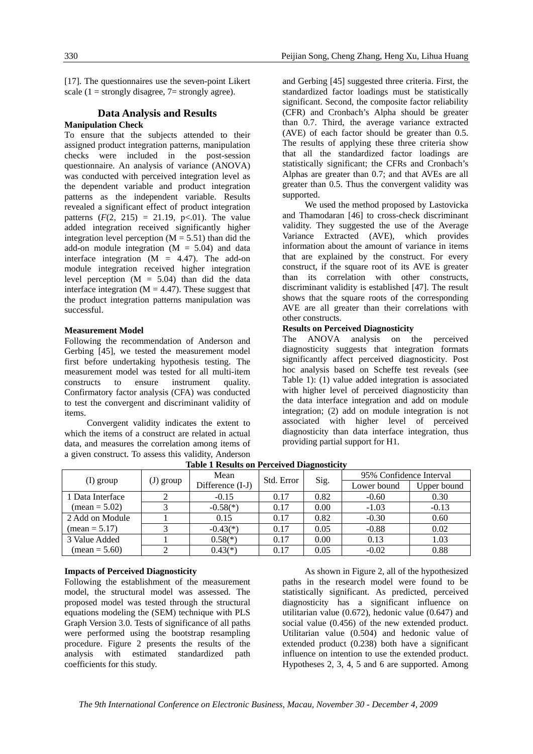[17]. The questionnaires use the seven-point Likert scale ( $1 =$  strongly disagree,  $7 =$  strongly agree).

## **Data Analysis and Results**

## **Manipulation Check**

To ensure that the subjects attended to their assigned product integration patterns, manipulation checks were included in the post-session questionnaire. An analysis of variance (ANOVA) was conducted with perceived integration level as the dependent variable and product integration patterns as the independent variable. Results revealed a significant effect of product integration patterns  $(F(2, 215) = 21.19, p<0.01)$ . The value added integration received significantly higher integration level perception  $(M = 5.51)$  than did the add-on module integration  $(M = 5.04)$  and data interface integration  $(M = 4.47)$ . The add-on module integration received higher integration level perception  $(M = 5.04)$  than did the data interface integration ( $M = 4.47$ ). These suggest that the product integration patterns manipulation was successful.

#### **Measurement Model**

Following the recommendation of Anderson and Gerbing [45], we tested the measurement model first before undertaking hypothesis testing. The measurement model was tested for all multi-item constructs to ensure instrument quality. Confirmatory factor analysis (CFA) was conducted to test the convergent and discriminant validity of items.

Convergent validity indicates the extent to which the items of a construct are related in actual data, and measures the correlation among items of a given construct. To assess this validity, Anderson and Gerbing [45] suggested three criteria. First, the standardized factor loadings must be statistically significant. Second, the composite factor reliability (CFR) and Cronbach's Alpha should be greater than 0.7. Third, the average variance extracted (AVE) of each factor should be greater than 0.5. The results of applying these three criteria show that all the standardized factor loadings are statistically significant; the CFRs and Cronbach's Alphas are greater than 0.7; and that AVEs are all greater than 0.5. Thus the convergent validity was supported.

We used the method proposed by Lastovicka and Thamodaran [46] to cross-check discriminant validity. They suggested the use of the Average Variance Extracted (AVE), which provides information about the amount of variance in items that are explained by the construct. For every construct, if the square root of its AVE is greater than its correlation with other constructs, discriminant validity is established [47]. The result shows that the square roots of the corresponding AVE are all greater than their correlations with other constructs.

## **Results on Perceived Diagnosticity**

The ANOVA analysis on the perceived diagnosticity suggests that integration formats significantly affect perceived diagnosticity. Post hoc analysis based on Scheffe test reveals (see Table 1): (1) value added integration is associated with higher level of perceived diagnosticity than the data interface integration and add on module integration; (2) add on module integration is not associated with higher level of perceived diagnosticity than data interface integration, thus providing partial support for H1.

| Table 1 Results on Ferceived Diagnosticity |           |                  |            |      |                         |             |
|--------------------------------------------|-----------|------------------|------------|------|-------------------------|-------------|
| (I) group                                  | (J) group | Mean             | Std. Error | Sig. | 95% Confidence Interval |             |
|                                            |           | Difference (I-J) |            |      | Lower bound             | Upper bound |
| 1 Data Interface                           |           | $-0.15$          | 0.17       | 0.82 | $-0.60$                 | 0.30        |
| $mean = 5.02$                              |           | $-0.58(*)$       | 0.17       | 0.00 | $-1.03$                 | $-0.13$     |
| 2 Add on Module                            |           | 0.15             | 0.17       | 0.82 | $-0.30$                 | 0.60        |
| $mean = 5.17$                              |           | $-0.43(*)$       | 0.17       | 0.05 | $-0.88$                 | 0.02        |
| 3 Value Added                              |           | $0.58(*)$        | 0.17       | 0.00 | 0.13                    | 1.03        |
| $mean = 5.60$                              |           | $0.43(*)$        | 0.17       | 0.05 | $-0.02$                 | 0.88        |

**Table 1 Results on Perceived Diagnosticity**

## **Impacts of Perceived Diagnosticity**

Following the establishment of the measurement model, the structural model was assessed. The proposed model was tested through the structural equations modeling the (SEM) technique with PLS Graph Version 3.0. Tests of significance of all paths were performed using the bootstrap resampling procedure. Figure 2 presents the results of the analysis with estimated standardized path coefficients for this study.

As shown in Figure 2, all of the hypothesized paths in the research model were found to be statistically significant. As predicted, perceived diagnosticity has a significant influence on utilitarian value (0.672), hedonic value (0.647) and social value (0.456) of the new extended product. Utilitarian value (0.504) and hedonic value of extended product (0.238) both have a significant influence on intention to use the extended product. Hypotheses 2, 3, 4, 5 and 6 are supported. Among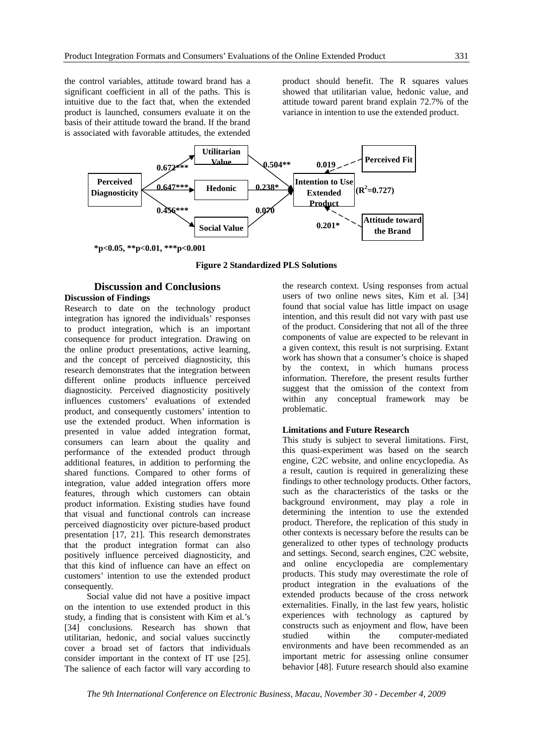the control variables, attitude toward brand has a significant coefficient in all of the paths. This is intuitive due to the fact that, when the extended product is launched, consumers evaluate it on the basis of their attitude toward the brand. If the brand is associated with favorable attitudes, the extended product should benefit. The R squares values showed that utilitarian value, hedonic value, and attitude toward parent brand explain 72.7% of the variance in intention to use the extended product.



**Figure 2 Standardized PLS Solutions** 

## **Discussion and Conclusions Discussion of Findings**

Research to date on the technology product integration has ignored the individuals' responses to product integration, which is an important consequence for product integration. Drawing on the online product presentations, active learning, and the concept of perceived diagnosticity, this research demonstrates that the integration between different online products influence perceived diagnosticity. Perceived diagnosticity positively influences customers' evaluations of extended product, and consequently customers' intention to use the extended product. When information is presented in value added integration format, consumers can learn about the quality and performance of the extended product through additional features, in addition to performing the shared functions. Compared to other forms of integration, value added integration offers more features, through which customers can obtain product information. Existing studies have found that visual and functional controls can increase perceived diagnosticity over picture-based product presentation [17, 21]. This research demonstrates that the product integration format can also positively influence perceived diagnosticity, and that this kind of influence can have an effect on customers' intention to use the extended product consequently.

Social value did not have a positive impact on the intention to use extended product in this study, a finding that is consistent with Kim et al.'s [34] conclusions. Research has shown that utilitarian, hedonic, and social values succinctly cover a broad set of factors that individuals consider important in the context of IT use [25]. The salience of each factor will vary according to

the research context. Using responses from actual users of two online news sites, Kim et al. [34] found that social value has little impact on usage intention, and this result did not vary with past use of the product. Considering that not all of the three components of value are expected to be relevant in a given context, this result is not surprising. Extant work has shown that a consumer's choice is shaped by the context, in which humans process information. Therefore, the present results further suggest that the omission of the context from within any conceptual framework may be problematic.

## **Limitations and Future Research**

This study is subject to several limitations. First, this quasi-experiment was based on the search engine, C2C website, and online encyclopedia. As a result, caution is required in generalizing these findings to other technology products. Other factors, such as the characteristics of the tasks or the background environment, may play a role in determining the intention to use the extended product. Therefore, the replication of this study in other contexts is necessary before the results can be generalized to other types of technology products and settings. Second, search engines, C2C website, and online encyclopedia are complementary products. This study may overestimate the role of product integration in the evaluations of the extended products because of the cross network externalities. Finally, in the last few years, holistic experiences with technology as captured by constructs such as enjoyment and flow, have been studied within the computer-mediated environments and have been recommended as an important metric for assessing online consumer behavior [48]. Future research should also examine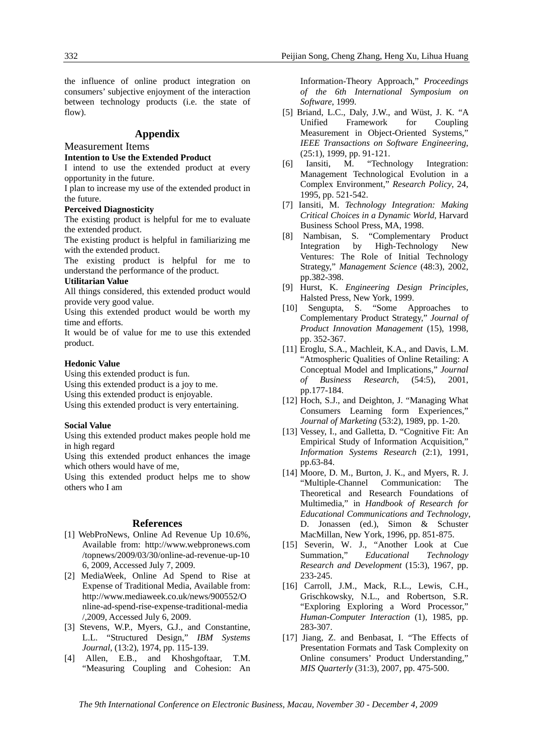the influence of online product integration on consumers' subjective enjoyment of the interaction between technology products (i.e. the state of flow).

## **Appendix**

## Measurement Items

#### **Intention to Use the Extended Product**

I intend to use the extended product at every opportunity in the future.

I plan to increase my use of the extended product in the future.

#### **Perceived Diagnosticity**

The existing product is helpful for me to evaluate the extended product.

The existing product is helpful in familiarizing me with the extended product.

The existing product is helpful for me to understand the performance of the product.

## **Utilitarian Value**

All things considered, this extended product would provide very good value.

Using this extended product would be worth my time and efforts.

It would be of value for me to use this extended product.

#### **Hedonic Value**

Using this extended product is fun.

Using this extended product is a joy to me.

Using this extended product is enjoyable.

Using this extended product is very entertaining.

## **Social Value**

Using this extended product makes people hold me in high regard

Using this extended product enhances the image which others would have of me,

Using this extended product helps me to show others who I am

## **References**

- [1] WebProNews, Online Ad Revenue Up 10.6%, Available from: http://www.webpronews.com /topnews/2009/03/30/online-ad-revenue-up-10 6, 2009, Accessed July 7, 2009.
- [2] MediaWeek, Online Ad Spend to Rise at Expense of Traditional Media, Available from: http://www.mediaweek.co.uk/news/900552/O nline-ad-spend-rise-expense-traditional-media /,2009, Accessed July 6, 2009.
- [3] Stevens, W.P., Myers, G.J., and Constantine, L.L. "Structured Design," *IBM Systems Journal*, (13:2), 1974, pp. 115-139.
- [4] Allen, E.B., and Khoshgoftaar, T.M. "Measuring Coupling and Cohesion: An

Information-Theory Approach," *Proceedings of the 6th International Symposium on Software*, 1999.

- [5] Briand, L.C., Daly, J.W., and Wüst, J. K. "A Unified Framework for Coupling Measurement in Object-Oriented Systems," *IEEE Transactions on Software Engineering*, (25:1), 1999, pp. 91-121.
- [6] Iansiti, M. "Technology Integration: Management Technological Evolution in a Complex Environment," *Research Policy*, 24, 1995, pp. 521-542.
- [7] Iansiti, M. *Technology Integration: Making Critical Choices in a Dynamic World*, Harvard Business School Press, MA, 1998.
- [8] Nambisan, S. "Complementary Product Integration by High-Technology New Ventures: The Role of Initial Technology Strategy," *Management Science* (48:3), 2002, pp.382-398.
- [9] Hurst, K. *Engineering Design Principles*, Halsted Press, New York, 1999.
- [10] Sengupta, S. "Some Approaches to Complementary Product Strategy," *Journal of Product Innovation Management* (15), 1998, pp. 352-367.
- [11] Eroglu, S.A., Machleit, K.A., and Davis, L.M. "Atmospheric Qualities of Online Retailing: A Conceptual Model and Implications," *Journal of Business Research*, (54:5), 2001, pp.177-184.
- [12] Hoch, S.J., and Deighton, J. "Managing What Consumers Learning form Experiences," *Journal of Marketing* (53:2), 1989, pp. 1-20.
- [13] Vessey, I., and Galletta, D. "Cognitive Fit: An Empirical Study of Information Acquisition," *Information Systems Research* (2:1), 1991, pp.63-84.
- [14] Moore, D. M., Burton, J. K., and Myers, R. J. "Multiple-Channel Communication: The Theoretical and Research Foundations of Multimedia," in *Handbook of Research for Educational Communications and Technology*, D. Jonassen (ed.), Simon & Schuster MacMillan, New York, 1996, pp. 851-875.
- [15] Severin, W. J., "Another Look at Cue Summation," *Educational Technology Research and Development* (15:3), 1967, pp. 233-245.
- [16] Carroll, J.M., Mack, R.L., Lewis, C.H., Grischkowsky, N.L., and Robertson, S.R. "Exploring Exploring a Word Processor," *Human-Computer Interaction* (1), 1985, pp. 283-307.
- [17] Jiang, Z. and Benbasat, I. "The Effects of Presentation Formats and Task Complexity on Online consumers' Product Understanding," *MIS Quarterly* (31:3), 2007, pp. 475-500.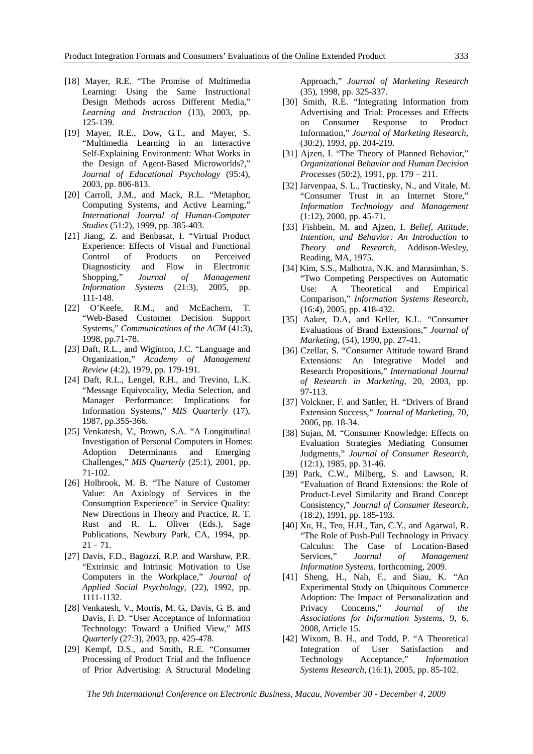- [18] Mayer, R.E. "The Promise of Multimedia Learning: Using the Same Instructional Design Methods across Different Media," *Learning and Instruction* (13), 2003, pp. 125-139.
- [19] Mayer, R.E., Dow, G.T., and Mayer, S. "Multimedia Learning in an Interactive Self-Explaining Environment: What Works in the Design of Agent-Based Microworlds?," *Journal of Educational Psychology* (95:4), 2003, pp. 806-813.
- [20] Carroll, J.M., and Mack, R.L. "Metaphor, Computing Systems, and Active Learning," *International Journal of Human-Computer Studies* (51:2), 1999, pp. 385-403.
- [21] Jiang, Z. and Benbasat, I. "Virtual Product Experience: Effects of Visual and Functional Control of Products on Perceived Diagnosticity and Flow in Electronic Shopping," *Journal of Management Information Systems* (21:3), 2005, pp. 111-148.
- [22] O'Keefe, R.M., and McEachern, T. "Web-Based Customer Decision Support Systems," *Communications of the ACM* (41:3), 1998, pp.71-78.
- [23] Daft, R.L., and Wiginton, J.C. "Language and Organization," *Academy of Management Review* (4:2), 1979, pp. 179-191.
- [24] Daft, R.L., Lengel, R.H., and Trevino, L.K. "Message Equivocality, Media Selection, and Manager Performance: Implications for Information Systems," *MIS Quarterly* (17), 1987, pp.355-366.
- [25] Venkatesh, V., Brown, S.A. "A Longitudinal Investigation of Personal Computers in Homes: Adoption Determinants and Emerging Challenges," *MIS Quarterly* (25:1), 2001, pp. 71-102.
- [26] Holbrook, M. B. "The Nature of Customer Value: An Axiology of Services in the Consumption Experience" in Service Quality: New Directions in Theory and Practice, R. T. Rust and R. L. Oliver (Eds.), Sage Publications, Newbury Park, CA, 1994, pp.  $21 - 71$ .
- [27] Davis, F.D., Bagozzi, R.P. and Warshaw, P.R. "Extrinsic and Intrinsic Motivation to Use Computers in the Workplace," *Journal of Applied Social Psychology*, (22), 1992, pp. 1111-1132.
- [28] Venkatesh, V., Morris, M. G., Davis, G. B. and Davis, F. D. "User Acceptance of Information Technology: Toward a Unified View," *MIS Quarterly* (27:3), 2003, pp. 425-478.
- [29] Kempf, D.S., and Smith, R.E. "Consumer Processing of Product Trial and the Influence of Prior Advertising: A Structural Modeling

Approach," *Journal of Marketing Research* (35), 1998, pp. 325-337.

- [30] Smith, R.E. "Integrating Information from Advertising and Trial: Processes and Effects on Consumer Response to Product Information," *Journal of Marketing Research*, (30:2), 1993, pp. 204-219.
- [31] Ajzen, I. "The Theory of Planned Behavior," *Organizational Behavior and Human Decision Processes* (50:2), 1991, pp. 179–211.
- [32] Jarvenpaa, S. L., Tractinsky, N., and Vitale, M. "Consumer Trust in an Internet Store," *Information Technology and Management* (1:12), 2000, pp. 45-71.
- [33] Fishbein, M. and Ajzen, I. *Belief, Attitude, Intention, and Behavior: An Introduction to Theory and Research*, Addison-Wesley, Reading, MA, 1975.
- [34] Kim, S.S., Malhotra, N.K. and Marasimhan, S. "Two Competing Perspectives on Automatic Use: A Theoretical and Empirical Comparison," *Information Systems Research*, (16:4), 2005, pp. 418-432.
- [35] Aaker, D.A, and Keller, K.L. "Consumer Evaluations of Brand Extensions," *Journal of Marketing*, (54), 1990, pp. 27-41.
- [36] Czellar, S. "Consumer Attitude toward Brand Extensions: An Integrative Model and Research Propositions," *International Journal of Research in Marketing*, 20, 2003, pp. 97-113.
- [37] Volckner, F. and Sattler, H. "Drivers of Brand Extension Success," *Journal of Marketing*, 70, 2006, pp. 18-34.
- [38] Sujan, M. "Consumer Knowledge: Effects on Evaluation Strategies Mediating Consumer Judgments," *Journal of Consumer Research*, (12:1), 1985, pp. 31-46.
- [39] Park, C.W., Milberg, S. and Lawson, R. "Evaluation of Brand Extensions: the Role of Product-Level Similarity and Brand Concept Consistency," *Journal of Consumer Research*, (18:2), 1991, pp. 185-193.
- [40] Xu, H., Teo, H.H., Tan, C.Y., and Agarwal, R. "The Role of Push-Pull Technology in Privacy Calculus: The Case of Location-Based Services," *Journal of Management Information Systems*, forthcoming, 2009.
- [41] Sheng, H., Nah, F., and Siau, K. "An Experimental Study on Ubiquitous Commerce Adoption: The Impact of Personalization and Privacy Concerns," *Journal of the Associations for Information Systems*, 9, 6, 2008, Article 15.
- [42] Wixom, B. H., and Todd, P. "A Theoretical Integration of User Satisfaction and Technology Acceptance," *Information Systems Research,* (16:1), 2005, pp. 85-102.

*The 9th International Conference on Electronic Business, Macau, November 30 - December 4, 2009*